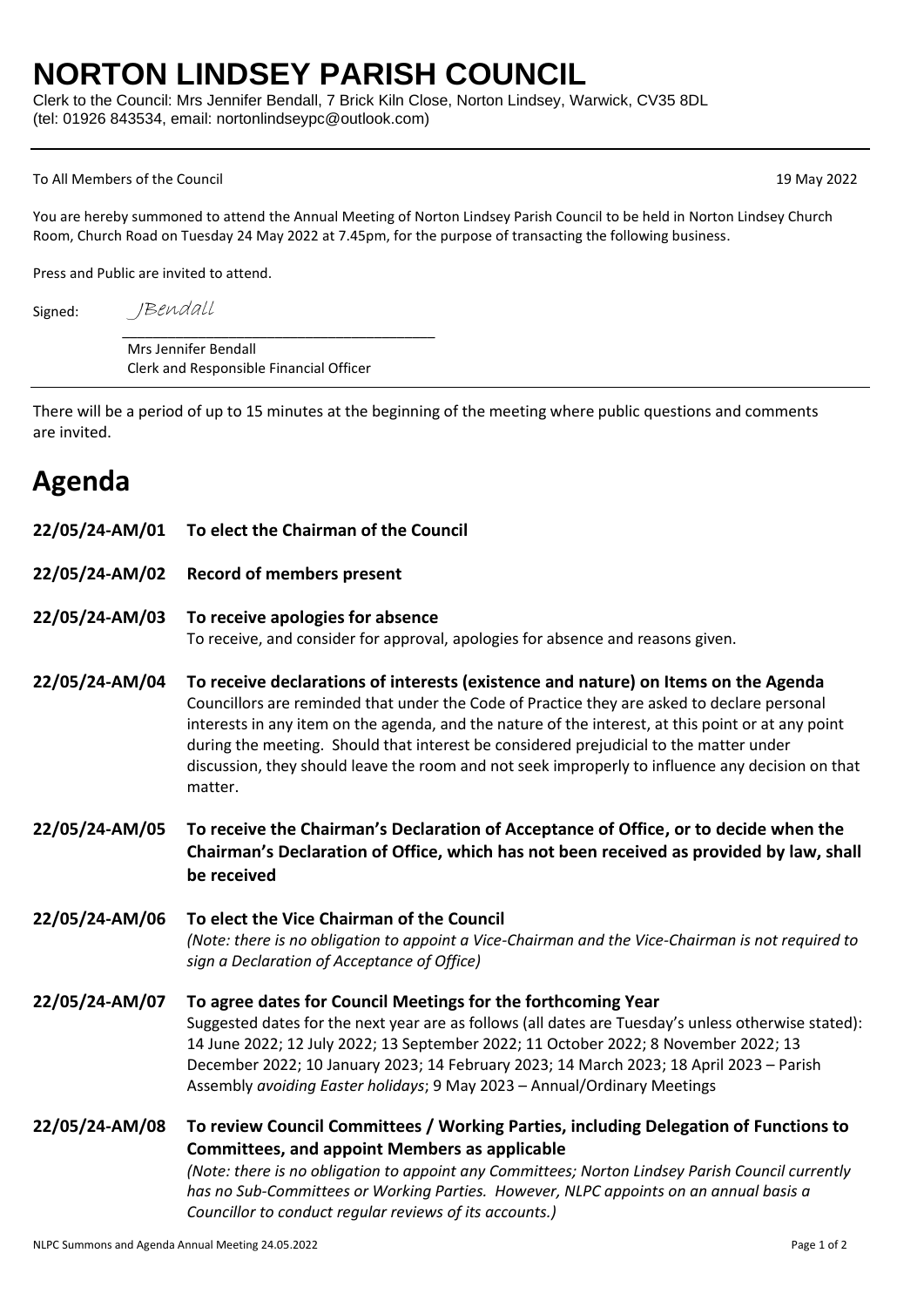## **NORTON LINDSEY PARISH COUNCIL**

Clerk to the Council: Mrs Jennifer Bendall, 7 Brick Kiln Close, Norton Lindsey, Warwick, CV35 8DL (tel: 01926 843534, email: nortonlindseypc@outlook.com)

## To All Members of the Council 19 May 2022

You are hereby summoned to attend the Annual Meeting of Norton Lindsey Parish Council to be held in Norton Lindsey Church Room, Church Road on Tuesday 24 May 2022 at 7.45pm, for the purpose of transacting the following business.

Press and Public are invited to attend.

JBendall

Signed:

\_\_\_\_\_\_\_\_\_\_\_\_\_\_\_\_\_\_\_\_\_\_\_\_\_\_\_\_\_\_\_\_\_\_\_\_\_\_\_\_\_ Mrs Jennifer Bendall Clerk and Responsible Financial Officer

There will be a period of up to 15 minutes at the beginning of the meeting where public questions and comments are invited.

## **Agenda**

- **22/05/24-AM/01 To elect the Chairman of the Council**
- **22/05/24-AM/02 Record of members present**

## **22/05/24-AM/03 To receive apologies for absence**

To receive, and consider for approval, apologies for absence and reasons given.

- **22/05/24-AM/04 To receive declarations of interests (existence and nature) on Items on the Agenda** Councillors are reminded that under the Code of Practice they are asked to declare personal interests in any item on the agenda, and the nature of the interest, at this point or at any point during the meeting. Should that interest be considered prejudicial to the matter under discussion, they should leave the room and not seek improperly to influence any decision on that matter.
- **22/05/24-AM/05 To receive the Chairman's Declaration of Acceptance of Office, or to decide when the Chairman's Declaration of Office, which has not been received as provided by law, shall be received**

**22/05/24-AM/06 To elect the Vice Chairman of the Council** *(Note: there is no obligation to appoint a Vice-Chairman and the Vice-Chairman is not required to sign a Declaration of Acceptance of Office)*

- **22/05/24-AM/07 To agree dates for Council Meetings for the forthcoming Year** Suggested dates for the next year are as follows (all dates are Tuesday's unless otherwise stated): 14 June 2022; 12 July 2022; 13 September 2022; 11 October 2022; 8 November 2022; 13 December 2022; 10 January 2023; 14 February 2023; 14 March 2023; 18 April 2023 – Parish Assembly *avoiding Easter holidays*; 9 May 2023 – Annual/Ordinary Meetings
- **22/05/24-AM/08 To review Council Committees / Working Parties, including Delegation of Functions to Committees, and appoint Members as applicable**

*(Note: there is no obligation to appoint any Committees; Norton Lindsey Parish Council currently has no Sub-Committees or Working Parties. However, NLPC appoints on an annual basis a Councillor to conduct regular reviews of its accounts.)*